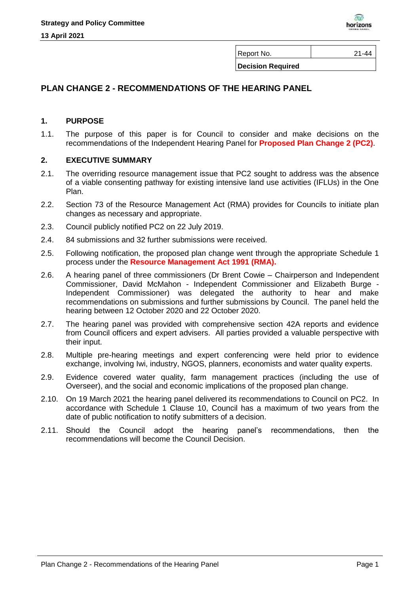

Report No. 21-44

**Decision Required**

# **PLAN CHANGE 2 - RECOMMENDATIONS OF THE HEARING PANEL**

### **1. PURPOSE**

1.1. The purpose of this paper is for Council to consider and make decisions on the recommendations of the Independent Hearing Panel for **Proposed Plan Change 2 (PC2)**.

## **2. EXECUTIVE SUMMARY**

- 2.1. The overriding resource management issue that PC2 sought to address was the absence of a viable consenting pathway for existing intensive land use activities (IFLUs) in the One Plan.
- 2.2. Section 73 of the Resource Management Act (RMA) provides for Councils to initiate plan changes as necessary and appropriate.
- 2.3. Council publicly notified PC2 on 22 July 2019.
- 2.4. 84 submissions and 32 further submissions were received.
- 2.5. Following notification, the proposed plan change went through the appropriate Schedule 1 process under the **Resource Management Act 1991 (RMA).**
- 2.6. A hearing panel of three commissioners (Dr Brent Cowie Chairperson and Independent Commissioner, David McMahon - Independent Commissioner and Elizabeth Burge - Independent Commissioner) was delegated the authority to hear and make recommendations on submissions and further submissions by Council. The panel held the hearing between 12 October 2020 and 22 October 2020.
- 2.7. The hearing panel was provided with comprehensive section 42A reports and evidence from Council officers and expert advisers. All parties provided a valuable perspective with their input.
- 2.8. Multiple pre-hearing meetings and expert conferencing were held prior to evidence exchange, involving Iwi, industry, NGOS, planners, economists and water quality experts.
- 2.9. Evidence covered water quality, farm management practices (including the use of Overseer), and the social and economic implications of the proposed plan change.
- 2.10. On 19 March 2021 the hearing panel delivered its recommendations to Council on PC2. In accordance with Schedule 1 Clause 10, Council has a maximum of two years from the date of public notification to notify submitters of a decision.
- 2.11. Should the Council adopt the hearing panel's recommendations, then the recommendations will become the Council Decision.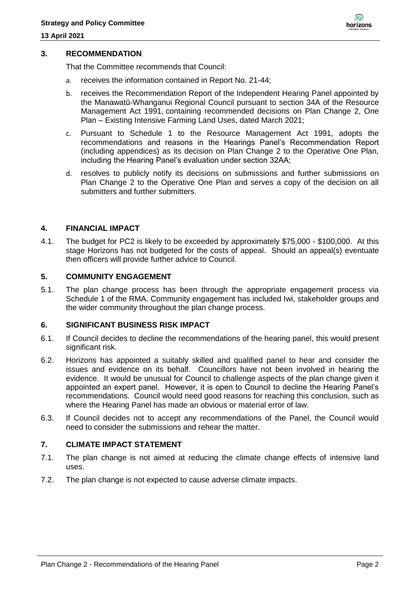

### **3. RECOMMENDATION**

That the Committee recommends that Council:

- a. receives the information contained in Report No. 21-44;
- b. receives the Recommendation Report of the Independent Hearing Panel appointed by the Manawatū-Whanganui Regional Council pursuant to section 34A of the Resource Management Act 1991, containing recommended decisions on Plan Change 2, One Plan – Existing Intensive Farming Land Uses, dated March 2021;
- c. Pursuant to Schedule 1 to the Resource Management Act 1991, adopts the recommendations and reasons in the Hearings Panel's Recommendation Report (including appendices) as its decision on Plan Change 2 to the Operative One Plan, including the Hearing Panel's evaluation under section 32AA;
- d. resolves to publicly notify its decisions on submissions and further submissions on Plan Change 2 to the Operative One Plan and serves a copy of the decision on all submitters and further submitters.

#### **4. FINANCIAL IMPACT**

4.1. The budget for PC2 is likely to be exceeded by approximately \$75,000 - \$100,000. At this stage Horizons has not budgeted for the costs of appeal. Should an appeal(s) eventuate then officers will provide further advice to Council.

### **5. COMMUNITY ENGAGEMENT**

5.1. The plan change process has been through the appropriate engagement process via Schedule 1 of the RMA. Community engagement has included Iwi, stakeholder groups and the wider community throughout the plan change process.

#### **6. SIGNIFICANT BUSINESS RISK IMPACT**

- 6.1. If Council decides to decline the recommendations of the hearing panel, this would present significant risk.
- 6.2. Horizons has appointed a suitably skilled and qualified panel to hear and consider the issues and evidence on its behalf. Councillors have not been involved in hearing the evidence. It would be unusual for Council to challenge aspects of the plan change given it appointed an expert panel. However, it is open to Council to decline the Hearing Panel's recommendations. Council would need good reasons for reaching this conclusion, such as where the Hearing Panel has made an obvious or material error of law.
- 6.3. If Council decides not to accept any recommendations of the Panel, the Council would need to consider the submissions and rehear the matter.

### **7. CLIMATE IMPACT STATEMENT**

- 7.1. The plan change is not aimed at reducing the climate change effects of intensive land uses.
- 7.2. The plan change is not expected to cause adverse climate impacts.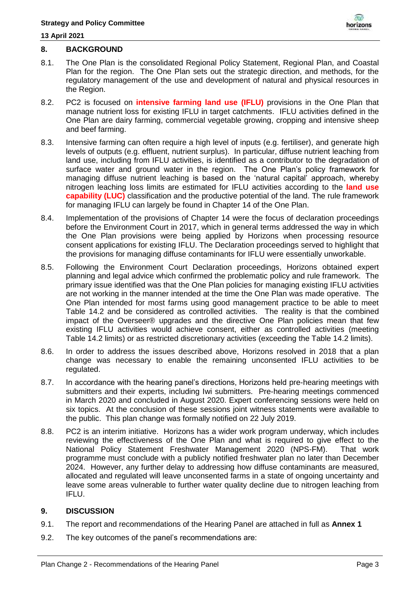

## **8. BACKGROUND**

- 8.1. The One Plan is the consolidated Regional Policy Statement, Regional Plan, and Coastal Plan for the region. The One Plan sets out the strategic direction, and methods, for the regulatory management of the use and development of natural and physical resources in the Region.
- 8.2. PC2 is focused on **intensive farming land use (IFLU)** provisions in the One Plan that manage nutrient loss for existing IFLU in target catchments. IFLU activities defined in the One Plan are dairy farming, commercial vegetable growing, cropping and intensive sheep and beef farming.
- 8.3. Intensive farming can often require a high level of inputs (e.g. fertiliser), and generate high levels of outputs (e.g. effluent, nutrient surplus). In particular, diffuse nutrient leaching from land use, including from IFLU activities, is identified as a contributor to the degradation of surface water and ground water in the region. The One Plan's policy framework for managing diffuse nutrient leaching is based on the 'natural capital' approach, whereby nitrogen leaching loss limits are estimated for IFLU activities according to the **land use capability (LUC)** classification and the productive potential of the land. The rule framework for managing IFLU can largely be found in Chapter 14 of the One Plan.
- 8.4. Implementation of the provisions of Chapter 14 were the focus of declaration proceedings before the Environment Court in 2017, which in general terms addressed the way in which the One Plan provisions were being applied by Horizons when processing resource consent applications for existing IFLU. The Declaration proceedings served to highlight that the provisions for managing diffuse contaminants for IFLU were essentially unworkable.
- 8.5. Following the Environment Court Declaration proceedings, Horizons obtained expert planning and legal advice which confirmed the problematic policy and rule framework. The primary issue identified was that the One Plan policies for managing existing IFLU activities are not working in the manner intended at the time the One Plan was made operative. The One Plan intended for most farms using good management practice to be able to meet Table 14.2 and be considered as controlled activities. The reality is that the combined impact of the Overseer® upgrades and the directive One Plan policies mean that few existing IFLU activities would achieve consent, either as controlled activities (meeting Table 14.2 limits) or as restricted discretionary activities (exceeding the Table 14.2 limits).
- 8.6. In order to address the issues described above, Horizons resolved in 2018 that a plan change was necessary to enable the remaining unconsented IFLU activities to be regulated.
- 8.7. In accordance with the hearing panel's directions, Horizons held pre-hearing meetings with submitters and their experts, including Iwi submitters. Pre-hearing meetings commenced in March 2020 and concluded in August 2020. Expert conferencing sessions were held on six topics. At the conclusion of these sessions joint witness statements were available to the public. This plan change was formally notified on 22 July 2019.
- 8.8. PC2 is an interim initiative. Horizons has a wider work program underway, which includes reviewing the effectiveness of the One Plan and what is required to give effect to the National Policy Statement Freshwater Management 2020 (NPS-FM). That work programme must conclude with a publicly notified freshwater plan no later than December 2024. However, any further delay to addressing how diffuse contaminants are measured, allocated and regulated will leave unconsented farms in a state of ongoing uncertainty and leave some areas vulnerable to further water quality decline due to nitrogen leaching from IFLU.

### **9. DISCUSSION**

- 9.1. The report and recommendations of the Hearing Panel are attached in full as **Annex 1**
- 9.2. The key outcomes of the panel's recommendations are: